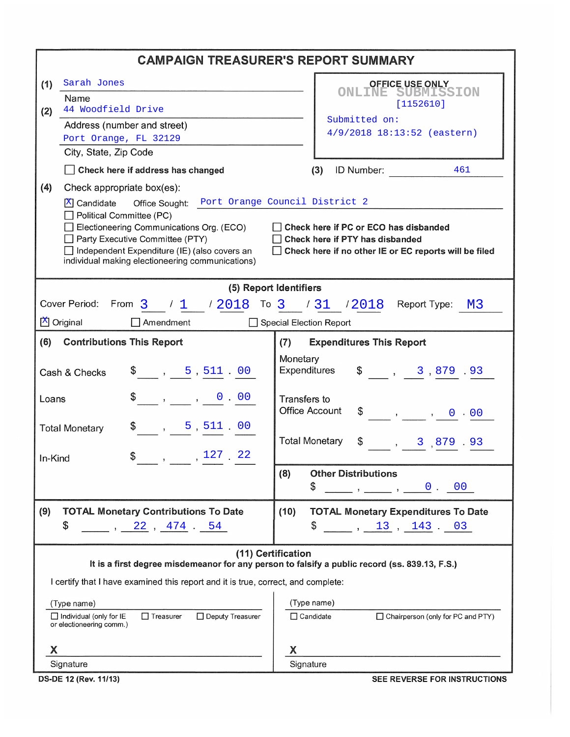|                                                                                                                                                                                                                                                                                                                                                                                                                  | <b>CAMPAIGN TREASURER'S REPORT SUMMARY</b>                                                                          |  |  |  |  |  |  |  |  |
|------------------------------------------------------------------------------------------------------------------------------------------------------------------------------------------------------------------------------------------------------------------------------------------------------------------------------------------------------------------------------------------------------------------|---------------------------------------------------------------------------------------------------------------------|--|--|--|--|--|--|--|--|
| Sarah Jones<br>(1)                                                                                                                                                                                                                                                                                                                                                                                               | <b>OFFICE USE ONLY</b>                                                                                              |  |  |  |  |  |  |  |  |
| Name                                                                                                                                                                                                                                                                                                                                                                                                             | <b>ONLINE SUBMISSION</b><br>[1152610]                                                                               |  |  |  |  |  |  |  |  |
| 44 Woodfield Drive<br>(2)                                                                                                                                                                                                                                                                                                                                                                                        | Submitted on:                                                                                                       |  |  |  |  |  |  |  |  |
| Address (number and street)<br>Port Orange, FL 32129                                                                                                                                                                                                                                                                                                                                                             | 4/9/2018 18:13:52 (eastern)                                                                                         |  |  |  |  |  |  |  |  |
| City, State, Zip Code                                                                                                                                                                                                                                                                                                                                                                                            |                                                                                                                     |  |  |  |  |  |  |  |  |
| Check here if address has changed                                                                                                                                                                                                                                                                                                                                                                                | ID Number:<br>(3)<br>461                                                                                            |  |  |  |  |  |  |  |  |
| (4)<br>Check appropriate box(es):                                                                                                                                                                                                                                                                                                                                                                                |                                                                                                                     |  |  |  |  |  |  |  |  |
| Office Sought: Port Orange Council District 2<br>X Candidate<br>Political Committee (PC)<br>Electioneering Communications Org. (ECO)<br>Check here if PC or ECO has disbanded<br>Party Executive Committee (PTY)<br>Check here if PTY has disbanded<br>Independent Expenditure (IE) (also covers an<br>Check here if no other IE or EC reports will be filed<br>individual making electioneering communications) |                                                                                                                     |  |  |  |  |  |  |  |  |
| (5) Report Identifiers                                                                                                                                                                                                                                                                                                                                                                                           |                                                                                                                     |  |  |  |  |  |  |  |  |
| Cover Period: From $3$ / $1$ / $2018$ To $3$ / $31$ / $2018$ Report Type: M3                                                                                                                                                                                                                                                                                                                                     |                                                                                                                     |  |  |  |  |  |  |  |  |
| X Original<br>Amendment<br>Special Election Report                                                                                                                                                                                                                                                                                                                                                               |                                                                                                                     |  |  |  |  |  |  |  |  |
| (6)<br><b>Contributions This Report</b>                                                                                                                                                                                                                                                                                                                                                                          | <b>Expenditures This Report</b><br>(7)                                                                              |  |  |  |  |  |  |  |  |
| $\frac{1}{2}$ , 5, 511 00<br>Cash & Checks                                                                                                                                                                                                                                                                                                                                                                       | Monetary<br>Expenditures<br>$\frac{1}{2}$ , 3,879.93                                                                |  |  |  |  |  |  |  |  |
| $\$\,$ , , 0 00<br>Loans                                                                                                                                                                                                                                                                                                                                                                                         | Transfers to<br><b>Office Account</b><br>$\frac{1}{2}$ , , 0 00                                                     |  |  |  |  |  |  |  |  |
| $\frac{1}{2}$ , 5, 511.00<br><b>Total Monetary</b><br>, 127 22<br>In-Kind                                                                                                                                                                                                                                                                                                                                        | <b>Total Monetary</b><br>\$<br>, 3,879.93                                                                           |  |  |  |  |  |  |  |  |
|                                                                                                                                                                                                                                                                                                                                                                                                                  | <b>Other Distributions</b><br>(8)                                                                                   |  |  |  |  |  |  |  |  |
|                                                                                                                                                                                                                                                                                                                                                                                                                  | \$<br>$\qquad \qquad , \qquad \qquad 0 \qquad 00$                                                                   |  |  |  |  |  |  |  |  |
| (9)<br><b>TOTAL Monetary Contributions To Date</b>                                                                                                                                                                                                                                                                                                                                                               | (10)<br><b>TOTAL Monetary Expenditures To Date</b>                                                                  |  |  |  |  |  |  |  |  |
| \$<br>$\sim$ , 22, 474 54                                                                                                                                                                                                                                                                                                                                                                                        | \$<br>$\frac{13}{13}, \frac{143}{143}$ 03                                                                           |  |  |  |  |  |  |  |  |
|                                                                                                                                                                                                                                                                                                                                                                                                                  | (11) Certification<br>It is a first degree misdemeanor for any person to falsify a public record (ss. 839.13, F.S.) |  |  |  |  |  |  |  |  |
| I certify that I have examined this report and it is true, correct, and complete:                                                                                                                                                                                                                                                                                                                                |                                                                                                                     |  |  |  |  |  |  |  |  |
| (Type name)                                                                                                                                                                                                                                                                                                                                                                                                      | (Type name)                                                                                                         |  |  |  |  |  |  |  |  |
| Individual (only for IE<br>$\Box$ Treasurer<br>□ Deputy Treasurer<br>or electioneering comm.)                                                                                                                                                                                                                                                                                                                    | $\Box$ Candidate<br>□ Chairperson (only for PC and PTY)                                                             |  |  |  |  |  |  |  |  |
| X                                                                                                                                                                                                                                                                                                                                                                                                                | X                                                                                                                   |  |  |  |  |  |  |  |  |
| Signature                                                                                                                                                                                                                                                                                                                                                                                                        | Signature                                                                                                           |  |  |  |  |  |  |  |  |

DS-DE 12 (Rev. 11/13)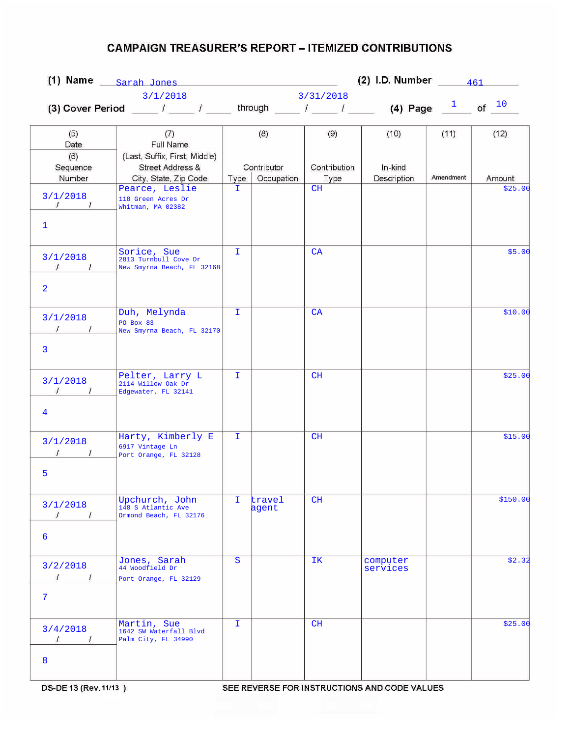|                                                                            |                                                                                                | (2) I.D. Number $\frac{461}{\sqrt{10}}$<br>(1) Name $_{\text{Sarah Jones}}$ |                 |              |                      |           |                   |
|----------------------------------------------------------------------------|------------------------------------------------------------------------------------------------|-----------------------------------------------------------------------------|-----------------|--------------|----------------------|-----------|-------------------|
|                                                                            | 3/1/2018                                                                                       |                                                                             |                 | 3/31/2018    |                      |           |                   |
|                                                                            | (3) Cover Period ____ $l$ ____ $l$ ____ through ____ $l$ ____ $l$ _____ (4) Page $\frac{1}{l}$ |                                                                             |                 |              |                      |           | of $10$           |
| (5)<br>Date                                                                | (7)<br>Full Name                                                                               |                                                                             | (8)             | (9)          | (10)                 | (11)      | (12)              |
| (6)<br>Sequence                                                            | (Last, Suffix, First, Middle)<br>Street Address &                                              |                                                                             | Contributor     | Contribution | In-kind              | Amendment |                   |
| Number<br>3/1/2018<br>$\sqrt{1}$<br>$\mathbf{1}$                           | City, State, Zip Code<br>Pearce, Leslie<br>118 Green Acres Dr<br>Whitman, MA 02382             | Type<br>T.                                                                  | Occupation      | Type<br>CH   | Description          |           | Amount<br>\$25.00 |
| 3/1/2018<br>$\sim$ $\sim$ $\sim$ $\sim$<br>$\mathcal{L}$<br>$\overline{2}$ | Sorice, Sue<br>2813 Turnbull Cove Dr<br>New Smyrna Beach, FL 32168                             | T.                                                                          |                 | CA           |                      |           | \$5.00            |
| 3/1/2018<br>$1 \quad 1$                                                    | Duh, Melynda<br>PO Box 83<br>New Smyrna Beach, FL 32170                                        | T.                                                                          |                 | CA           |                      |           | \$10.00           |
| 3<br>3/1/2018<br>$\mathcal{L}$<br>$\prime$                                 | Pelter, Larry L<br>2114 Willow Oak Dr<br>Edgewater, FL 32141                                   | T.                                                                          |                 | CH           |                      |           | \$25.00           |
| 4<br>3/1/2018<br>5                                                         | Harty, Kimberly E<br>6917 Vintage Ln<br>Port Orange, FL 32128                                  | I.                                                                          |                 | CH           |                      |           | \$15.00           |
| 3/1/2018<br>$\overline{I}$<br>$\prime$<br>6                                | Upchurch, John<br>148 S Atlantic Ave<br>Ormond Beach, FL 32176                                 | I.                                                                          | travel<br>agent | CH           |                      |           | \$150.00          |
| 3/2/2018<br>$\prime$<br>$\sqrt{1}$<br>$\overline{7}$                       | Jones, Sarah<br>44 Woodfield Dr<br>Port Orange, FL 32129                                       | $\mathbf S$                                                                 |                 | IK.          | computer<br>services |           | \$2.32            |
| 3/4/2018<br>$\sqrt{ }$<br>$\sqrt{ }$<br>8                                  | Martin, Sue<br>1642 SW Waterfall Blvd<br>Palm City, FL 34990                                   | I.                                                                          |                 | CH           |                      |           | \$25.00           |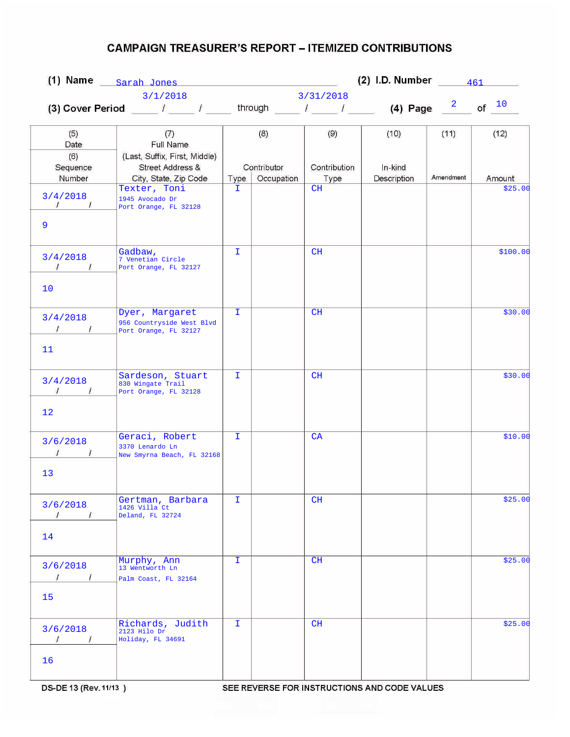|                                                   | (1) Name $\frac{Sarah Jones}{}$                                                                  | (2) I.D. Number $\frac{461}{\sqrt{10}}$ |                           |                      |                        |           |          |
|---------------------------------------------------|--------------------------------------------------------------------------------------------------|-----------------------------------------|---------------------------|----------------------|------------------------|-----------|----------|
|                                                   | 3/1/2018                                                                                         |                                         |                           | 3/31/2018            |                        |           |          |
|                                                   | (3) Cover Period ____ $I$ ____ $I$ _____ through ____ $I$ _____ $I$ _____ (4) Page $\frac{2}{I}$ |                                         |                           |                      |                        |           | of $10$  |
| (5)<br>Date                                       | (7)<br>Full Name                                                                                 |                                         | (8)                       | (9)                  | (10)                   | (11)      | (12)     |
| (6)<br>Sequence<br>Number                         | (Last, Suffix, First, Middle)<br>Street Address &<br>City, State, Zip Code                       | Type                                    | Contributor<br>Occupation | Contribution<br>Type | In-kind<br>Description | Amendment | Amount   |
| 3/4/2018<br>$\sqrt{1}$<br>9                       | Texter, Toni<br>1945 Avocado Dr<br>Port Orange, FL 32128                                         | I.                                      |                           | CH                   |                        |           | \$25.00  |
| 3/4/2018<br>$\sqrt{1}$<br>10                      | Gadbaw,<br>7 Venetian Circle<br>Port Orange, FL 32127                                            | T.                                      |                           | CH                   |                        |           | \$100.00 |
| 3/4/2018<br>$\sqrt{1}$<br>11                      | Dyer, Margaret<br>956 Countryside West Blvd<br>Port Orange, FL 32127                             | $\mathbf{I}$                            |                           | CH                   |                        |           | \$30.00  |
| 3/4/2018<br>$\overline{1}$<br>$\mathcal{L}$<br>12 | Sardeson, Stuart<br>830 Wingate Trail<br>Port Orange, FL 32128                                   | T.                                      |                           | CH                   |                        |           | \$30.00  |
| 3/6/2018<br>13                                    | Geraci, Robert<br>3370 Lenardo Ln<br>New Smyrna Beach, FL 32168                                  | I.                                      |                           | CA                   |                        |           | \$10.00  |
| 3/6/2018<br>$\prime$<br>$\prime$                  | Gertman, Barbara<br>1426 Villa Ct<br>Deland, FL 32724                                            | Ι.                                      |                           | CH                   |                        |           | \$25.00  |
| 14<br>3/6/2018<br>$\prime$<br>$\sqrt{ }$<br>15    | Murphy, Ann<br>13 Wentworth Ln<br>Palm Coast, FL 32164                                           | I.                                      |                           | CH                   |                        |           | \$25.00  |
| 3/6/2018<br>$\prime$<br>$\prime$<br>16            | Richards, Judith<br>2123 Hilo Dr<br>Holiday, FL 34691                                            | I.                                      |                           | CH                   |                        |           | \$25.00  |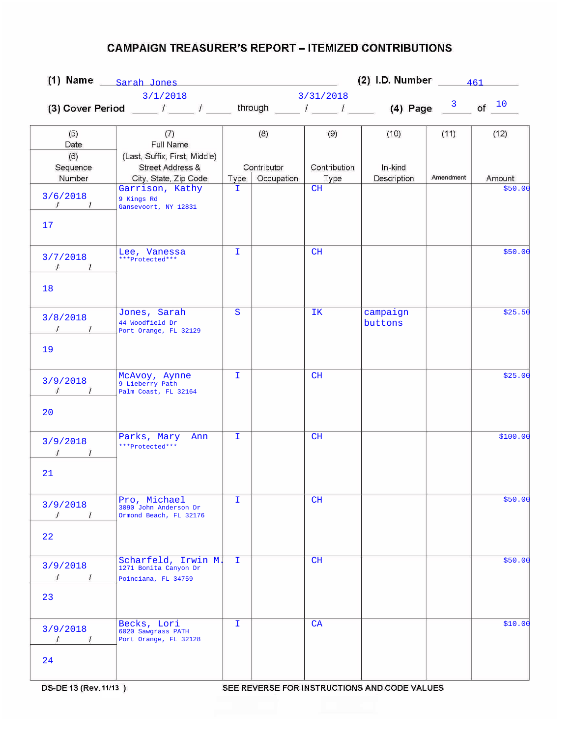|                                               |                                                                                                  | (2) I.D. Number $\frac{461}{\sqrt{10}}$<br>(1) Name $_{\text{Sarah Jones}}$ |                           |                      |                        |           |          |
|-----------------------------------------------|--------------------------------------------------------------------------------------------------|-----------------------------------------------------------------------------|---------------------------|----------------------|------------------------|-----------|----------|
|                                               | 3/1/2018                                                                                         |                                                                             |                           | 3/31/2018            |                        |           |          |
|                                               | (3) Cover Period ____ $I$ ____ $I$ _____ through ____ $I$ _____ $I$ _____ (4) Page $\frac{3}{2}$ |                                                                             |                           |                      |                        |           | of $10$  |
| (5)<br>Date                                   | (7)<br>Full Name                                                                                 |                                                                             | (8)                       | (9)                  | (10)                   | (11)      | (12)     |
| (6)<br>Sequence<br>Number                     | (Last, Suffix, First, Middle)<br>Street Address &<br>City, State, Zip Code                       | Type                                                                        | Contributor<br>Occupation | Contribution<br>Type | In-kind<br>Description | Amendment | Amount   |
| 3/6/2018<br>$\frac{1}{\sqrt{2}}$<br>17        | Garrison, Kathy<br>9 Kings Rd<br>Gansevoort, NY 12831                                            | I.                                                                          |                           | CH                   |                        |           | \$50.00  |
| 3/7/2018<br>$\sqrt{1}$                        | Lee, Vanessa<br>***Protected***                                                                  | $\mathbf{I}$                                                                |                           | CH                   |                        |           | \$50.00  |
| 18                                            |                                                                                                  |                                                                             |                           |                      |                        |           |          |
| 3/8/2018<br>19                                | Jones, Sarah<br>44 Woodfield Dr<br>Port Orange, FL 32129                                         | S                                                                           |                           | IK.                  | campaign<br>buttons    |           | \$25.50  |
| 3/9/2018<br>$\mathcal{F}$<br>$\prime$<br>20   | McAvoy, Aynne<br>9 Lieberry Path<br>Palm Coast, FL 32164                                         | T.                                                                          |                           | CH                   |                        |           | \$25.00  |
| 3/9/2018<br>21                                | Parks, Mary<br>Ann<br>***Protected***                                                            | $\mathbf{I}$                                                                |                           | CH                   |                        |           | \$100.00 |
| 3/9/2018<br>$\prime$<br>$\mu$<br>22           | Pro, Michael<br>3090 John Anderson Dr<br>Ormond Beach, FL 32176                                  | T.                                                                          |                           | CH                   |                        |           | \$50.00  |
| 3/9/2018<br>$\mathcal{L}$<br>$\sqrt{1}$<br>23 | Scharfeld, Irwin M.<br>1271 Bonita Canyon Dr<br>Poinciana, FL 34759                              | T.                                                                          |                           | CH                   |                        |           | \$50.00  |
| 3/9/2018<br>$\prime$<br>$\sqrt{ }$<br>24      | Becks, Lori<br>6020 Sawgrass PATH<br>Port Orange, FL 32128                                       | I.                                                                          |                           | CA                   |                        |           | \$10.00  |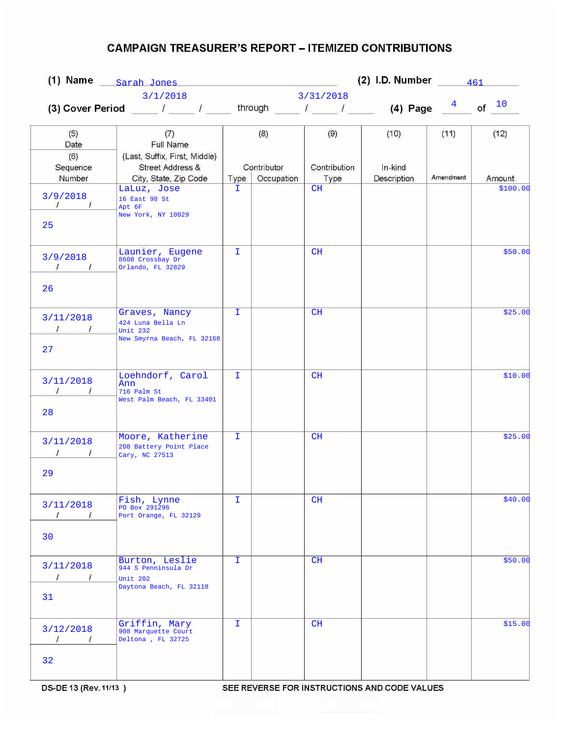|                                                     | (1) Name $\frac{Sarah Jones}{}$                                                                  | (2) I.D. Number $\frac{461}{\sqrt{1}}$ |                           |                 |                        |           |          |  |
|-----------------------------------------------------|--------------------------------------------------------------------------------------------------|----------------------------------------|---------------------------|-----------------|------------------------|-----------|----------|--|
|                                                     | 3/1/2018                                                                                         |                                        |                           | 3/31/2018       |                        |           |          |  |
|                                                     | (3) Cover Period ____ $I$ ____ $I$ _____ through ____ $I$ _____ $I$ _____ (4) Page $\frac{4}{I}$ |                                        |                           |                 |                        |           | of $10$  |  |
| (5)<br>Date                                         | (7)<br>Full Name                                                                                 |                                        | (8)                       | (9)             | (10)                   | (11)      | (12)     |  |
| (6)<br>Sequence<br>Number                           | (Last, Suffix, First, Middle)<br>Street Address &<br>City, State, Zip Code                       |                                        | Contributor<br>Occupation | Contribution    | In-kind<br>Description | Amendment | Amount   |  |
| 3/9/2018<br>$\frac{1}{\sqrt{2}}$<br>25              | LaLuz, Jose<br>16 East 98 St<br>Apt 6F<br>New York, NY 10029                                     | Type<br>I.                             |                           | Type<br>CH      |                        |           | \$100.00 |  |
| 3/9/2018<br>$\sqrt{1}$<br>26                        | Launier, Eugene<br>8608 Crossbay Dr<br>Orlando, FL 32829                                         | I.                                     |                           | CH              |                        |           | \$50.00  |  |
| 3/11/2018<br>27                                     | Graves, Nancy<br>424 Luna Bella Ln<br>Unit 232<br>New Smyrna Beach, FL 32168                     | I.                                     |                           | CH              |                        |           | \$25.00  |  |
| 3/11/2018<br>$\frac{1}{\sqrt{2}}$<br>28             | Loehndorf, Carol<br>Ann<br>716 Palm St<br>West Palm Beach, FL 33401                              | T.                                     |                           | CH              |                        |           | \$10.00  |  |
| 3/11/2018<br>$\prime$<br>$\prime$<br>29             | Moore, Katherine<br>208 Battery Point Place<br>Cary, NC 27513                                    | I.                                     |                           | CH              |                        |           | \$25.00  |  |
| 3/11/2018<br>$\sqrt{ }$<br>1<br>30                  | Fish, Lynne<br>PO Box 291296<br>Port Orange, FL 32129                                            | I.                                     |                           | CH              |                        |           | \$40.00  |  |
| 3/11/2018<br>$\prime$<br>$\sim$ $\sim$ $\sim$<br>31 | Burton, Leslie<br>944 S Penninsula Dr<br>Unit 202<br>Daytona Beach, FL 32118                     | I.                                     |                           | CH              |                        |           | \$50.00  |  |
| 3/12/2018<br>$\prime$<br>$\sqrt{1}$<br>32           | Griffin, Mary<br>908 Marquette Court<br>Deltona, FL 32725                                        | T.                                     |                           | CH <sub>.</sub> |                        |           | \$15.00  |  |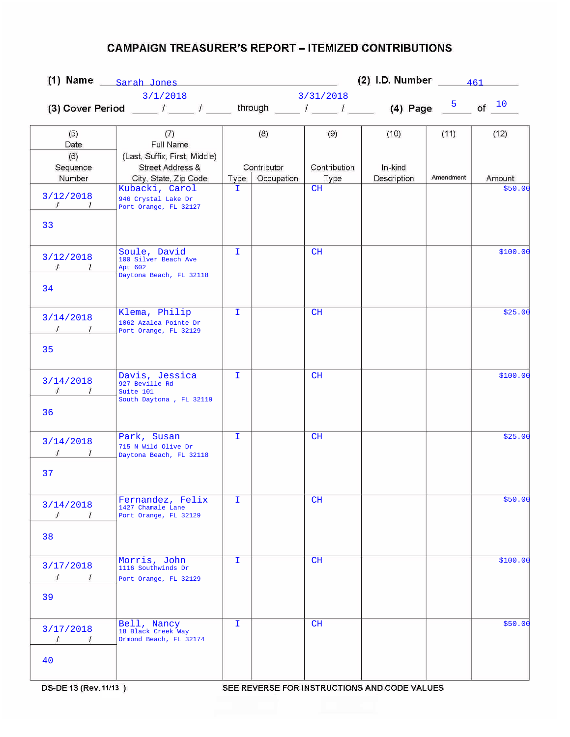|                                                |                                                                                             | (2) I.D. Number $\frac{461}{\sqrt{1}}$<br>(1) Name $_{\text{Sarah Jones}}$ |                           |                      |                        |           |          |
|------------------------------------------------|---------------------------------------------------------------------------------------------|----------------------------------------------------------------------------|---------------------------|----------------------|------------------------|-----------|----------|
|                                                | 3/1/2018                                                                                    |                                                                            |                           | 3/31/2018            |                        |           |          |
|                                                | (3) Cover Period _____ / _____ / _____ through _____ / _____ / _____ (4) Page $\frac{5}{2}$ |                                                                            |                           |                      |                        |           | of $10$  |
| (5)<br>Date                                    | (7)<br>Full Name                                                                            |                                                                            | (8)                       | (9)                  | (10)                   | (11)      | (12)     |
| (6)<br>Sequence<br>Number                      | (Last, Suffix, First, Middle)<br>Street Address &<br>City, State, Zip Code                  | Type                                                                       | Contributor<br>Occupation | Contribution<br>Type | In-kind<br>Description | Amendment | Amount   |
| 3/12/2018<br>$\mathcal{L}$                     | Kubacki, Carol<br>946 Crystal Lake Dr<br>Port Orange, FL 32127                              | I.                                                                         |                           | CH                   |                        |           | \$50.00  |
| 33                                             | Soule, David                                                                                | $\mathbf{I}$                                                               |                           | CH                   |                        |           | \$100.00 |
| 3/12/2018<br>$\sqrt{1}$<br>34                  | 100 Silver Beach Ave<br>Apt 602<br>Daytona Beach, FL 32118                                  |                                                                            |                           |                      |                        |           |          |
| 3/14/2018<br>$1 \quad 1$<br>35                 | Klema, Philip<br>1062 Azalea Pointe Dr<br>Port Orange, FL 32129                             | T.                                                                         |                           | CH                   |                        |           | \$25.00  |
| 3/14/2018<br>$\sqrt{ }$<br>$\frac{1}{2}$<br>36 | Davis, Jessica<br>927 Beville Rd<br>Suite 101<br>South Daytona, FL 32119                    | I.                                                                         |                           | CH                   |                        |           | \$100.00 |
| 3/14/2018<br>37                                | Park, Susan<br>715 N Wild Olive Dr<br>Daytona Beach, FL 32118                               | $\mathbf{I}$                                                               |                           | CH                   |                        |           | \$25.00  |
| 3/14/2018<br>$\prime$<br>1<br>38               | Fernandez, Felix<br>1427 Chamale Lane<br>Port Orange, FL 32129                              | T.                                                                         |                           | CH                   |                        |           | \$50.00  |
| 3/17/2018<br>$\prime$<br>$\sqrt{1}$<br>39      | Morris, John<br>1116 Southwinds Dr<br>Port Orange, FL 32129                                 | I.                                                                         |                           | CH                   |                        |           | \$100.00 |
| 3/17/2018<br>$\prime$<br>$\overline{1}$<br>40  | Bell, Nancy<br>18 Black Creek Way<br>Ormond Beach, FL 32174                                 | I.                                                                         |                           | CH                   |                        |           | \$50.00  |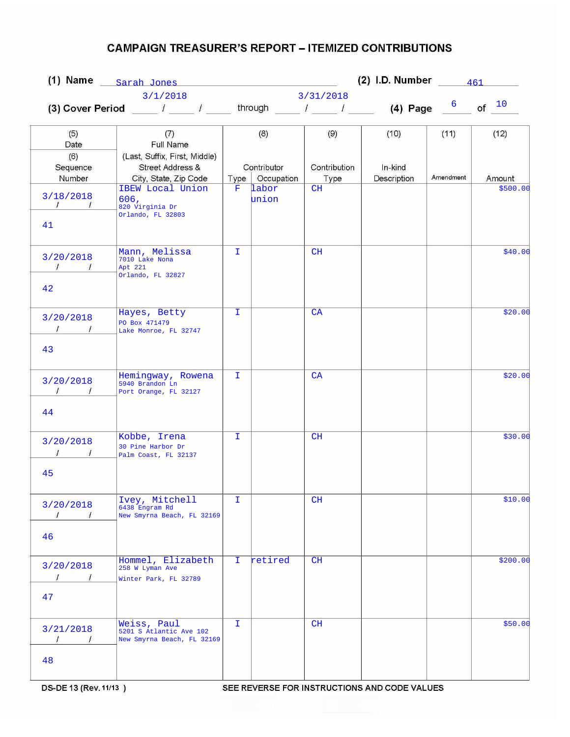|                                                                 | (1) Name $\frac{Sarah Jones}{}$                                                             |              | (2) I.D. Number $\frac{461}{\sqrt{10}}$ |              |             |           |          |
|-----------------------------------------------------------------|---------------------------------------------------------------------------------------------|--------------|-----------------------------------------|--------------|-------------|-----------|----------|
|                                                                 | 3/1/2018                                                                                    |              |                                         | 3/31/2018    |             |           |          |
|                                                                 | (3) Cover Period _____ / _____ / _____ through _____ / _____ / _____ (4) Page $\frac{6}{2}$ |              |                                         |              |             |           | of $10$  |
| (5)<br>Date                                                     | (7)<br>Full Name                                                                            |              | (8)                                     | (9)          | (10)        | (11)      | (12)     |
| (6)<br>Sequence                                                 | (Last, Suffix, First, Middle)<br>Street Address &                                           |              | Contributor                             | Contribution | In-kind     |           |          |
| Number                                                          | City, State, Zip Code                                                                       | Type         | Occupation                              | Type         | Description | Amendment | Amount   |
| 3/18/2018<br>$\mathcal{I}$ . The same state $\mathcal{I}$<br>41 | IBEW Local Union<br>606,<br>820 Virginia Dr<br>Orlando, FL 32803                            | $\mathbf{F}$ | labor<br>union                          | CH           |             |           | \$500.00 |
| 3/20/2018<br>$\sqrt{1}$<br>42                                   | Mann, Melissa<br>7010 Lake Nona<br>Apt 221<br>Orlando, FL 32827                             | T.           |                                         | CH           |             |           | \$40.00  |
| 3/20/2018                                                       | Hayes, Betty<br>PO Box 471479                                                               | $\mathbf{I}$ |                                         | CA           |             |           | \$20.00  |
| $\sqrt{1}$<br>43                                                | Lake Monroe, FL 32747                                                                       |              |                                         |              |             |           |          |
| 3/20/2018<br>$\frac{1}{\sqrt{2}}$<br>$\frac{1}{2}$              | Hemingway, Rowena<br>5940 Brandon Ln<br>Port Orange, FL 32127                               | T.           |                                         | CA           |             |           | \$20.00  |
| 44                                                              |                                                                                             |              |                                         |              |             |           |          |
| 3/20/2018                                                       | Kobbe, Irena<br>30 Pine Harbor Dr<br>Palm Coast, FL 32137                                   | $\mathbf{I}$ |                                         | CH           |             |           | \$30.00  |
| 45                                                              |                                                                                             |              |                                         |              |             |           |          |
| 3/20/2018<br>$\prime$<br>1                                      | Ivey, Mitchell<br>6438 Engram Rd<br>New Smyrna Beach, FL 32169                              | I.           |                                         | CH           |             |           | \$10.00  |
| 46                                                              |                                                                                             |              |                                         |              |             |           |          |
| 3/20/2018<br>$\overline{I}$<br>$\sqrt{1}$                       | Hommel, Elizabeth<br>258 W Lyman Ave<br>Winter Park, FL 32789                               | I.           | retired                                 | CH           |             |           | \$200.00 |
| 47                                                              |                                                                                             |              |                                         |              |             |           |          |
| 3/21/2018<br>$\prime$<br>$\prime$                               | Weiss, Paul<br>5201 S Atlantic Ave 102<br>New Smyrna Beach, FL 32169                        | I.           |                                         | CH           |             |           | \$50.00  |
| 48                                                              |                                                                                             |              |                                         |              |             |           |          |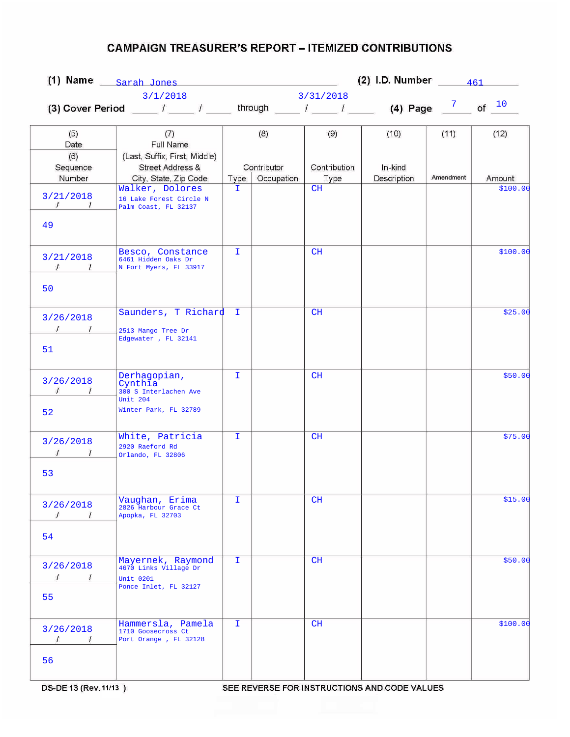|                                                   |                                                                                                  | (2) I.D. Number $\frac{461}{\sqrt{10}}$<br>(1) Name $_{\text{Sarah Jones}}$ |                           |                      |                        |           |          |
|---------------------------------------------------|--------------------------------------------------------------------------------------------------|-----------------------------------------------------------------------------|---------------------------|----------------------|------------------------|-----------|----------|
|                                                   | 3/1/2018                                                                                         |                                                                             |                           | 3/31/2018            |                        |           |          |
|                                                   | (3) Cover Period ____ $I$ ____ $I$ _____ through ____ $I$ _____ $I$ _____ (4) Page $\frac{7}{2}$ |                                                                             |                           |                      |                        |           | of $10$  |
| (5)<br>Date                                       | (7)<br>Full Name                                                                                 |                                                                             | (8)                       | (9)                  | (10)                   | (11)      | (12)     |
| (6)<br>Sequence<br>Number                         | (Last, Suffix, First, Middle)<br>Street Address &<br>City, State, Zip Code                       | Type                                                                        | Contributor<br>Occupation | Contribution<br>Type | In-kind<br>Description | Amendment | Amount   |
| 3/21/2018<br>$\mathcal{L}$<br>49                  | Walker, Dolores<br>16 Lake Forest Circle N<br>Palm Coast, FL 32137                               | I.                                                                          |                           | CH                   |                        |           | \$100.00 |
| 3/21/2018<br>$\sqrt{1}$                           | Besco, Constance<br>6461 Hidden Oaks Dr<br>N Fort Myers, FL 33917                                | T.                                                                          |                           | CH                   |                        |           | \$100.00 |
| 50                                                |                                                                                                  |                                                                             |                           |                      |                        |           |          |
| 3/26/2018<br>$\overline{1}$<br>51                 | Saunders, T Richard<br>2513 Mango Tree Dr<br>Edgewater , FL 32141                                | Œ.                                                                          |                           | CH                   |                        |           | \$25.00  |
| 3/26/2018<br>$\mathcal{I}$<br>$\frac{1}{2}$<br>52 | Derhagopian,<br>Cynthia<br>300 S Interlachen Ave<br>Unit 204<br>Winter Park, FL 32789            | T.                                                                          |                           | CH                   |                        |           | \$50.00  |
| 3/26/2018<br>53                                   | White, Patricia<br>2920 Raeford Rd<br>Orlando, FL 32806                                          | $\mathbf{I}$                                                                |                           | CH                   |                        |           | \$75.00  |
| 3/26/2018<br>$\prime$<br>1<br>54                  | Vaughan, Erima<br>2826 Harbour Grace Ct<br>Apopka, FL 32703                                      | T.                                                                          |                           | CH                   |                        |           | \$15.00  |
| 3/26/2018<br>$\prime$<br>$\sqrt{ }$<br>55         | Mayernek, Raymond<br>4670 Links Village Dr<br><b>Unit 0201</b><br>Ponce Inlet, FL 32127          | I.                                                                          |                           | CH                   |                        |           | \$50.00  |
| 3/26/2018<br>$\prime$<br>$\sqrt{ }$<br>56         | Hammersla, Pamela<br>1710 Goosecross Ct<br>Port Orange, FL 32128                                 | I.                                                                          |                           | CH                   |                        |           | \$100.00 |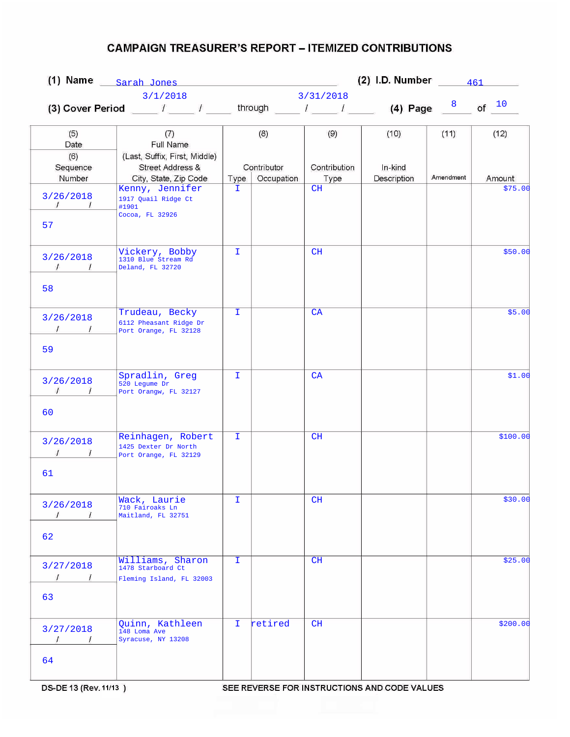|                                                   |                                                                                                  | (2) I.D. Number $\frac{461}{\sqrt{10}}$<br>(1) Name Sarah Jones |                           |                      |                        |           |          |
|---------------------------------------------------|--------------------------------------------------------------------------------------------------|-----------------------------------------------------------------|---------------------------|----------------------|------------------------|-----------|----------|
|                                                   | 3/1/2018                                                                                         |                                                                 |                           | 3/31/2018            |                        |           |          |
|                                                   | (3) Cover Period ____ $I$ ____ $I$ _____ through ____ $I$ _____ $I$ _____ (4) Page $\frac{8}{2}$ |                                                                 |                           |                      |                        |           | of $10$  |
| (5)<br>Date                                       | (7)<br>Full Name                                                                                 |                                                                 | (8)                       | (9)                  | (10)                   | (11)      | (12)     |
| (6)<br>Sequence<br>Number                         | (Last, Suffix, First, Middle)<br>Street Address &<br>City, State, Zip Code                       | Type                                                            | Contributor<br>Occupation | Contribution<br>Type | In-kind<br>Description | Amendment | Amount   |
| 3/26/2018<br>$\mathcal{L}$<br>57                  | Kenny, Jennifer<br>1917 Quail Ridge Ct<br>#1901<br>Cocoa, FL 32926                               | I.                                                              |                           | CH                   |                        |           | \$75.00  |
| 3/26/2018<br>$\sqrt{1}$<br>58                     | Vickery, Bobby<br>1310 Blue Stream Rd<br>Deland, FL 32720                                        | T.                                                              |                           | CH                   |                        |           | \$50.00  |
| 3/26/2018<br>$\frac{1}{\sqrt{2}}$<br>59           | Trudeau, Becky<br>6112 Pheasant Ridge Dr<br>Port Orange, FL 32128                                | $\mathbf{I}$                                                    |                           | CA                   |                        |           | \$5.00   |
| 3/26/2018<br>$\mathcal{L}$<br>$\frac{1}{2}$<br>60 | Spradlin, Greg<br>520 Legume Dr<br>Port Orangw, FL 32127                                         | T.                                                              |                           | CA                   |                        |           | \$1.00   |
| 3/26/2018<br>61                                   | Reinhagen, Robert<br>1425 Dexter Dr North<br>Port Orange, FL 32129                               | $\mathbf{I}$                                                    |                           | CH                   |                        |           | \$100.00 |
| 3/26/2018<br>$\prime$<br>62                       | Wack, Laurie<br>710 Fairoaks Ln<br>Maitland, FL 32751                                            | I.                                                              |                           | CH                   |                        |           | \$30.00  |
| 3/27/2018<br>$\prime$<br>$\sqrt{1}$<br>63         | Williams, Sharon<br>1478 Starboard Ct<br>Fleming Island, FL 32003                                | I.                                                              |                           | CH                   |                        |           | \$25.00  |
| 3/27/2018<br>$\sqrt{ }$<br>$\prime$<br>64         | Quinn, Kathleen<br>148 Loma Ave<br>Syracuse, NY 13208                                            | I.                                                              | retired                   | CH                   |                        |           | \$200.00 |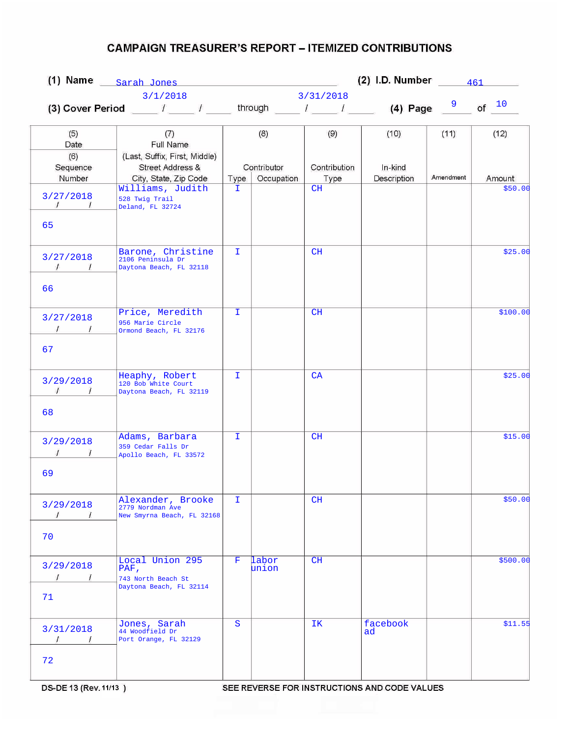|                                              |                                                                            | (2) I.D. Number $\frac{461}{\sqrt{10}}$<br>(1) Name $_{\text{Sarah Jones}}$ |                           |                      |                        |           |          |
|----------------------------------------------|----------------------------------------------------------------------------|-----------------------------------------------------------------------------|---------------------------|----------------------|------------------------|-----------|----------|
|                                              | 3/1/2018                                                                   |                                                                             |                           | 3/31/2018            |                        |           |          |
|                                              |                                                                            |                                                                             |                           |                      |                        |           | of $10$  |
| (5)<br>Date                                  | (7)<br>Full Name                                                           |                                                                             | (8)                       | (9)                  | (10)                   | (11)      | (12)     |
| (6)<br>Sequence<br>Number                    | (Last, Suffix, First, Middle)<br>Street Address &<br>City, State, Zip Code | Type                                                                        | Contributor<br>Occupation | Contribution<br>Type | In-kind<br>Description | Amendment | Amount   |
| 3/27/2018<br>$\mathcal{L}$                   | Williams, Judith<br>528 Twig Trail<br>Deland, FL 32724                     | I.                                                                          |                           | CH                   |                        |           | \$50.00  |
| 65                                           | Barone, Christine                                                          | T.                                                                          |                           | CH                   |                        |           | \$25.00  |
| 3/27/2018<br>$\sqrt{1}$<br>66                | 2106 Peninsula Dr<br>Daytona Beach, FL 32118                               |                                                                             |                           |                      |                        |           |          |
| 3/27/2018<br>67                              | Price, Meredith<br>956 Marie Circle<br>Ormond Beach, FL 32176              | I.                                                                          |                           | CH                   |                        |           | \$100.00 |
| 3/29/2018<br>$\overline{1}$<br>$\frac{1}{2}$ | Heaphy, Robert<br>120 Bob White Court<br>Daytona Beach, FL 32119           | T.                                                                          |                           | CA                   |                        |           | \$25.00  |
| 68<br>3/29/2018<br>69                        | Adams, Barbara<br>359 Cedar Falls Dr<br>Apollo Beach, FL 33572             | $\mathbf{I}$                                                                |                           | CH                   |                        |           | \$15.00  |
| 3/29/2018<br>$\prime$<br>$\epsilon$<br>70    | Alexander, Brooke<br>2779 Nordman Ave<br>New Smyrna Beach, FL 32168        | I.                                                                          |                           | CH                   |                        |           | \$50.00  |
| 3/29/2018<br>$\prime$<br>$\sqrt{ }$<br>71    | Local Union 295<br>PAF,<br>743 North Beach St<br>Daytona Beach, FL 32114   | F.                                                                          | labor<br>union            | CH                   |                        |           | \$500.00 |
| 3/31/2018<br>$\prime$<br>$\sqrt{ }$          | Jones, Sarah<br>44 Woodfield Dr<br>Port Orange, FL 32129                   | S                                                                           |                           | IΚ                   | facebook<br>ad         |           | \$11.55  |
| 72                                           |                                                                            |                                                                             |                           |                      |                        |           |          |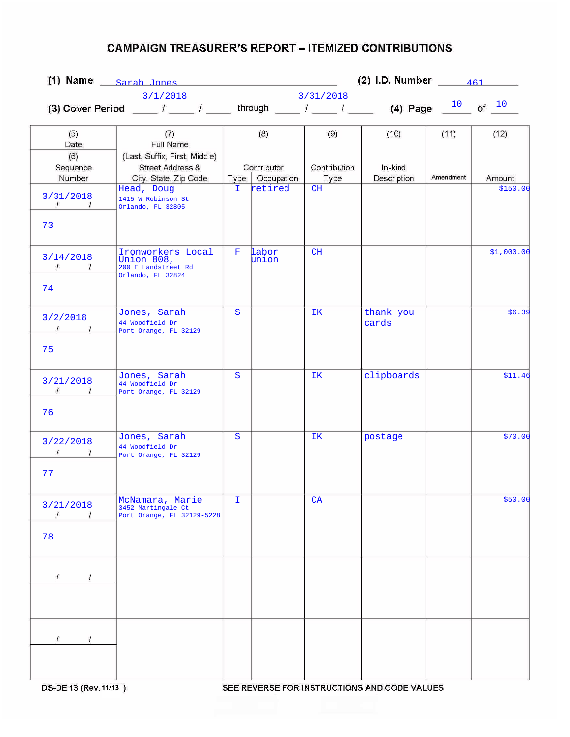|                                                    |                                                                                                                 | (2) I.D. Number $\frac{461}{\sqrt{1}}$<br>(1) Name $_{\text{Sarah Jones}}$ |                           |              |                        |           |            |
|----------------------------------------------------|-----------------------------------------------------------------------------------------------------------------|----------------------------------------------------------------------------|---------------------------|--------------|------------------------|-----------|------------|
|                                                    | 3/1/2018                                                                                                        |                                                                            |                           | 3/31/2018    |                        |           |            |
|                                                    | (3) Cover Period _____ $I$ _____ $I$ ______ through _____ $I$ ______ $I$ _______ (4) Page $\frac{10}{\sqrt{2}}$ |                                                                            |                           |              |                        |           | of $10$    |
| (5)<br>Date                                        | (7)<br>Full Name                                                                                                |                                                                            | (8)                       | (9)          | (10)                   | (11)      | (12)       |
| (6)<br>Sequence<br>Number                          | (Last, Suffix, First, Middle)<br>Street Address &<br>City, State, Zip Code                                      |                                                                            | Contributor<br>Occupation | Contribution | In-kind<br>Description | Amendment | Amount     |
| 3/31/2018<br>$\mathcal{L}$<br>$\overline{L}$<br>73 | Head, Doug<br>1415 W Robinson St<br>Orlando, FL 32805                                                           | Type  <br>I.                                                               | retired                   | Type<br>CH   |                        |           | \$150.00   |
| 3/14/2018<br>$\sqrt{1}$<br>74                      | Ironworkers Local<br>Union 808,<br>200 E Landstreet Rd<br>Orlando, FL 32824                                     | F.                                                                         | labor<br>union            | CH           |                        |           | \$1,000.00 |
| 3/2/2018<br>$1 \quad 1$<br>75                      | Jones, Sarah<br>44 Woodfield Dr<br>Port Orange, FL 32129                                                        | S                                                                          |                           | IK.          | thank you<br>cards     |           | \$6.39     |
| 3/21/2018<br>$\mathcal{L}$<br>$\frac{1}{2}$<br>76  | Jones, Sarah<br>44 Woodfield Dr<br>Port Orange, FL 32129                                                        | S                                                                          |                           | IK           | clipboards             |           | \$11.46    |
| 3/22/2018<br>77                                    | Jones, Sarah<br>44 Woodfield Dr<br>Port Orange, FL 32129                                                        | S                                                                          |                           | IK           | postage                |           | \$70.00    |
| 3/21/2018<br>1<br>78                               | McNamara, Marie<br>3452 Martingale Ct<br>Port Orange, FL 32129-5228                                             | I.                                                                         |                           | CA           |                        |           | \$50.00    |
| $\prime$                                           |                                                                                                                 |                                                                            |                           |              |                        |           |            |
| $\prime$<br>$\prime$                               |                                                                                                                 |                                                                            |                           |              |                        |           |            |